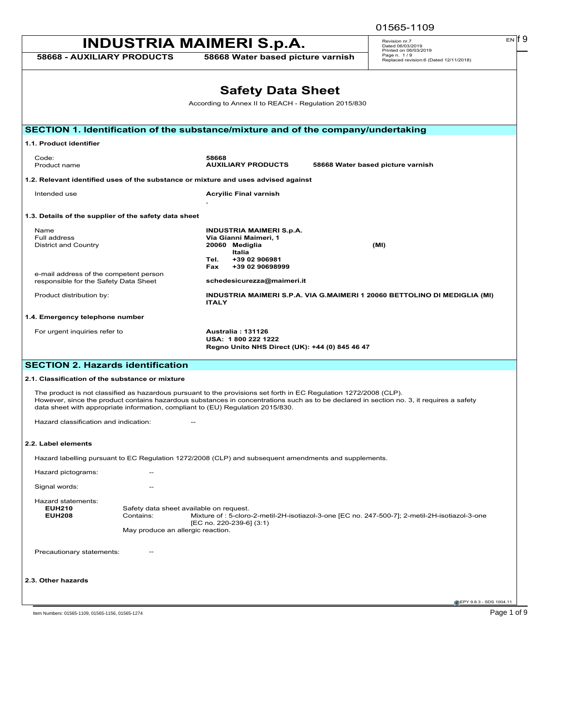| 01565-1109 |
|------------|
|            |

| <b>INDUSTRIA MAIMERI S.p.A.</b><br>Revision nr.7<br>Dated 06/03/2019<br>Printed on 06/03/2019<br>Page n. 1/9<br>58668 - AUXILIARY PRODUCTS<br>58668 Water based picture varnish<br>Replaced revision:6 (Dated 12/11/2018)<br><b>Safety Data Sheet</b><br>According to Annex II to REACH - Regulation 2015/830<br>SECTION 1. Identification of the substance/mixture and of the company/undertaking<br>1.1. Product identifier<br>Code:<br>58668<br>Product name<br><b>AUXILIARY PRODUCTS</b><br>58668 Water based picture varnish<br>1.2. Relevant identified uses of the substance or mixture and uses advised against<br>Intended use<br><b>Acryilic Final varnish</b><br>1.3. Details of the supplier of the safety data sheet<br><b>INDUSTRIA MAIMERI S.p.A.</b><br>Name<br>Full address<br>Via Gianni Maimeri, 1<br><b>District and Country</b><br>20060 Mediglia<br>(MI)<br>Italia<br>+39 02 906981<br>Tel.<br>Fax<br>+39 02 90698999<br>e-mail address of the competent person<br>responsible for the Safety Data Sheet<br>schedesicurezza@maimeri.it<br>Product distribution by:<br>INDUSTRIA MAIMERI S.P.A. VIA G.MAIMERI 1 20060 BETTOLINO DI MEDIGLIA (MI)<br><b>ITALY</b><br>1.4. Emergency telephone number<br>For urgent inquiries refer to<br><b>Australia: 131126</b><br>USA: 1800 222 1222<br>Regno Unito NHS Direct (UK): +44 (0) 845 46 47<br><b>SECTION 2. Hazards identification</b><br>2.1. Classification of the substance or mixture<br>The product is not classified as hazardous pursuant to the provisions set forth in EC Regulation 1272/2008 (CLP).<br>However, since the product contains hazardous substances in concentrations such as to be declared in section no. 3, it requires a safety<br>data sheet with appropriate information, compliant to (EU) Regulation 2015/830.<br>Hazard classification and indication:<br>2.2. Label elements<br>Hazard labelling pursuant to EC Regulation 1272/2008 (CLP) and subsequent amendments and supplements.<br>Hazard pictograms:<br>Signal words:<br>Hazard statements:<br><b>EUH210</b><br>Safety data sheet available on request.<br>Mixture of : 5-cloro-2-metil-2H-isotiazol-3-one [EC no. 247-500-7]; 2-metil-2H-isotiazol-3-one<br><b>EUH208</b><br>Contains:<br>[EC no. 220-239-6] (3:1)<br>May produce an allergic reaction.<br>Precautionary statements:<br>2.3. Other hazards<br>EPY 9.8.3 - SDS 1004.11 |  | 01565-1109  |
|---------------------------------------------------------------------------------------------------------------------------------------------------------------------------------------------------------------------------------------------------------------------------------------------------------------------------------------------------------------------------------------------------------------------------------------------------------------------------------------------------------------------------------------------------------------------------------------------------------------------------------------------------------------------------------------------------------------------------------------------------------------------------------------------------------------------------------------------------------------------------------------------------------------------------------------------------------------------------------------------------------------------------------------------------------------------------------------------------------------------------------------------------------------------------------------------------------------------------------------------------------------------------------------------------------------------------------------------------------------------------------------------------------------------------------------------------------------------------------------------------------------------------------------------------------------------------------------------------------------------------------------------------------------------------------------------------------------------------------------------------------------------------------------------------------------------------------------------------------------------------------------------------------------------------------------------------------------------------------------------------------------------------------------------------------------------------------------------------------------------------------------------------------------------------------------------------------------------------------------------------------------------------------------------------------------------------------------------------------------------------------------------------|--|-------------|
|                                                                                                                                                                                                                                                                                                                                                                                                                                                                                                                                                                                                                                                                                                                                                                                                                                                                                                                                                                                                                                                                                                                                                                                                                                                                                                                                                                                                                                                                                                                                                                                                                                                                                                                                                                                                                                                                                                                                                                                                                                                                                                                                                                                                                                                                                                                                                                                                   |  | $EN$ If $9$ |
|                                                                                                                                                                                                                                                                                                                                                                                                                                                                                                                                                                                                                                                                                                                                                                                                                                                                                                                                                                                                                                                                                                                                                                                                                                                                                                                                                                                                                                                                                                                                                                                                                                                                                                                                                                                                                                                                                                                                                                                                                                                                                                                                                                                                                                                                                                                                                                                                   |  |             |
|                                                                                                                                                                                                                                                                                                                                                                                                                                                                                                                                                                                                                                                                                                                                                                                                                                                                                                                                                                                                                                                                                                                                                                                                                                                                                                                                                                                                                                                                                                                                                                                                                                                                                                                                                                                                                                                                                                                                                                                                                                                                                                                                                                                                                                                                                                                                                                                                   |  |             |
|                                                                                                                                                                                                                                                                                                                                                                                                                                                                                                                                                                                                                                                                                                                                                                                                                                                                                                                                                                                                                                                                                                                                                                                                                                                                                                                                                                                                                                                                                                                                                                                                                                                                                                                                                                                                                                                                                                                                                                                                                                                                                                                                                                                                                                                                                                                                                                                                   |  |             |
|                                                                                                                                                                                                                                                                                                                                                                                                                                                                                                                                                                                                                                                                                                                                                                                                                                                                                                                                                                                                                                                                                                                                                                                                                                                                                                                                                                                                                                                                                                                                                                                                                                                                                                                                                                                                                                                                                                                                                                                                                                                                                                                                                                                                                                                                                                                                                                                                   |  |             |
|                                                                                                                                                                                                                                                                                                                                                                                                                                                                                                                                                                                                                                                                                                                                                                                                                                                                                                                                                                                                                                                                                                                                                                                                                                                                                                                                                                                                                                                                                                                                                                                                                                                                                                                                                                                                                                                                                                                                                                                                                                                                                                                                                                                                                                                                                                                                                                                                   |  |             |
|                                                                                                                                                                                                                                                                                                                                                                                                                                                                                                                                                                                                                                                                                                                                                                                                                                                                                                                                                                                                                                                                                                                                                                                                                                                                                                                                                                                                                                                                                                                                                                                                                                                                                                                                                                                                                                                                                                                                                                                                                                                                                                                                                                                                                                                                                                                                                                                                   |  |             |
|                                                                                                                                                                                                                                                                                                                                                                                                                                                                                                                                                                                                                                                                                                                                                                                                                                                                                                                                                                                                                                                                                                                                                                                                                                                                                                                                                                                                                                                                                                                                                                                                                                                                                                                                                                                                                                                                                                                                                                                                                                                                                                                                                                                                                                                                                                                                                                                                   |  |             |
|                                                                                                                                                                                                                                                                                                                                                                                                                                                                                                                                                                                                                                                                                                                                                                                                                                                                                                                                                                                                                                                                                                                                                                                                                                                                                                                                                                                                                                                                                                                                                                                                                                                                                                                                                                                                                                                                                                                                                                                                                                                                                                                                                                                                                                                                                                                                                                                                   |  |             |
|                                                                                                                                                                                                                                                                                                                                                                                                                                                                                                                                                                                                                                                                                                                                                                                                                                                                                                                                                                                                                                                                                                                                                                                                                                                                                                                                                                                                                                                                                                                                                                                                                                                                                                                                                                                                                                                                                                                                                                                                                                                                                                                                                                                                                                                                                                                                                                                                   |  |             |
|                                                                                                                                                                                                                                                                                                                                                                                                                                                                                                                                                                                                                                                                                                                                                                                                                                                                                                                                                                                                                                                                                                                                                                                                                                                                                                                                                                                                                                                                                                                                                                                                                                                                                                                                                                                                                                                                                                                                                                                                                                                                                                                                                                                                                                                                                                                                                                                                   |  |             |
|                                                                                                                                                                                                                                                                                                                                                                                                                                                                                                                                                                                                                                                                                                                                                                                                                                                                                                                                                                                                                                                                                                                                                                                                                                                                                                                                                                                                                                                                                                                                                                                                                                                                                                                                                                                                                                                                                                                                                                                                                                                                                                                                                                                                                                                                                                                                                                                                   |  |             |
|                                                                                                                                                                                                                                                                                                                                                                                                                                                                                                                                                                                                                                                                                                                                                                                                                                                                                                                                                                                                                                                                                                                                                                                                                                                                                                                                                                                                                                                                                                                                                                                                                                                                                                                                                                                                                                                                                                                                                                                                                                                                                                                                                                                                                                                                                                                                                                                                   |  |             |
|                                                                                                                                                                                                                                                                                                                                                                                                                                                                                                                                                                                                                                                                                                                                                                                                                                                                                                                                                                                                                                                                                                                                                                                                                                                                                                                                                                                                                                                                                                                                                                                                                                                                                                                                                                                                                                                                                                                                                                                                                                                                                                                                                                                                                                                                                                                                                                                                   |  |             |
|                                                                                                                                                                                                                                                                                                                                                                                                                                                                                                                                                                                                                                                                                                                                                                                                                                                                                                                                                                                                                                                                                                                                                                                                                                                                                                                                                                                                                                                                                                                                                                                                                                                                                                                                                                                                                                                                                                                                                                                                                                                                                                                                                                                                                                                                                                                                                                                                   |  |             |
|                                                                                                                                                                                                                                                                                                                                                                                                                                                                                                                                                                                                                                                                                                                                                                                                                                                                                                                                                                                                                                                                                                                                                                                                                                                                                                                                                                                                                                                                                                                                                                                                                                                                                                                                                                                                                                                                                                                                                                                                                                                                                                                                                                                                                                                                                                                                                                                                   |  |             |
|                                                                                                                                                                                                                                                                                                                                                                                                                                                                                                                                                                                                                                                                                                                                                                                                                                                                                                                                                                                                                                                                                                                                                                                                                                                                                                                                                                                                                                                                                                                                                                                                                                                                                                                                                                                                                                                                                                                                                                                                                                                                                                                                                                                                                                                                                                                                                                                                   |  |             |
|                                                                                                                                                                                                                                                                                                                                                                                                                                                                                                                                                                                                                                                                                                                                                                                                                                                                                                                                                                                                                                                                                                                                                                                                                                                                                                                                                                                                                                                                                                                                                                                                                                                                                                                                                                                                                                                                                                                                                                                                                                                                                                                                                                                                                                                                                                                                                                                                   |  |             |
|                                                                                                                                                                                                                                                                                                                                                                                                                                                                                                                                                                                                                                                                                                                                                                                                                                                                                                                                                                                                                                                                                                                                                                                                                                                                                                                                                                                                                                                                                                                                                                                                                                                                                                                                                                                                                                                                                                                                                                                                                                                                                                                                                                                                                                                                                                                                                                                                   |  |             |
|                                                                                                                                                                                                                                                                                                                                                                                                                                                                                                                                                                                                                                                                                                                                                                                                                                                                                                                                                                                                                                                                                                                                                                                                                                                                                                                                                                                                                                                                                                                                                                                                                                                                                                                                                                                                                                                                                                                                                                                                                                                                                                                                                                                                                                                                                                                                                                                                   |  |             |
|                                                                                                                                                                                                                                                                                                                                                                                                                                                                                                                                                                                                                                                                                                                                                                                                                                                                                                                                                                                                                                                                                                                                                                                                                                                                                                                                                                                                                                                                                                                                                                                                                                                                                                                                                                                                                                                                                                                                                                                                                                                                                                                                                                                                                                                                                                                                                                                                   |  |             |
|                                                                                                                                                                                                                                                                                                                                                                                                                                                                                                                                                                                                                                                                                                                                                                                                                                                                                                                                                                                                                                                                                                                                                                                                                                                                                                                                                                                                                                                                                                                                                                                                                                                                                                                                                                                                                                                                                                                                                                                                                                                                                                                                                                                                                                                                                                                                                                                                   |  |             |
|                                                                                                                                                                                                                                                                                                                                                                                                                                                                                                                                                                                                                                                                                                                                                                                                                                                                                                                                                                                                                                                                                                                                                                                                                                                                                                                                                                                                                                                                                                                                                                                                                                                                                                                                                                                                                                                                                                                                                                                                                                                                                                                                                                                                                                                                                                                                                                                                   |  |             |
|                                                                                                                                                                                                                                                                                                                                                                                                                                                                                                                                                                                                                                                                                                                                                                                                                                                                                                                                                                                                                                                                                                                                                                                                                                                                                                                                                                                                                                                                                                                                                                                                                                                                                                                                                                                                                                                                                                                                                                                                                                                                                                                                                                                                                                                                                                                                                                                                   |  |             |
|                                                                                                                                                                                                                                                                                                                                                                                                                                                                                                                                                                                                                                                                                                                                                                                                                                                                                                                                                                                                                                                                                                                                                                                                                                                                                                                                                                                                                                                                                                                                                                                                                                                                                                                                                                                                                                                                                                                                                                                                                                                                                                                                                                                                                                                                                                                                                                                                   |  |             |
|                                                                                                                                                                                                                                                                                                                                                                                                                                                                                                                                                                                                                                                                                                                                                                                                                                                                                                                                                                                                                                                                                                                                                                                                                                                                                                                                                                                                                                                                                                                                                                                                                                                                                                                                                                                                                                                                                                                                                                                                                                                                                                                                                                                                                                                                                                                                                                                                   |  |             |
| Item Numbers: 01565-1109, 01565-1156, 01565-1274                                                                                                                                                                                                                                                                                                                                                                                                                                                                                                                                                                                                                                                                                                                                                                                                                                                                                                                                                                                                                                                                                                                                                                                                                                                                                                                                                                                                                                                                                                                                                                                                                                                                                                                                                                                                                                                                                                                                                                                                                                                                                                                                                                                                                                                                                                                                                  |  | Page 1 of 9 |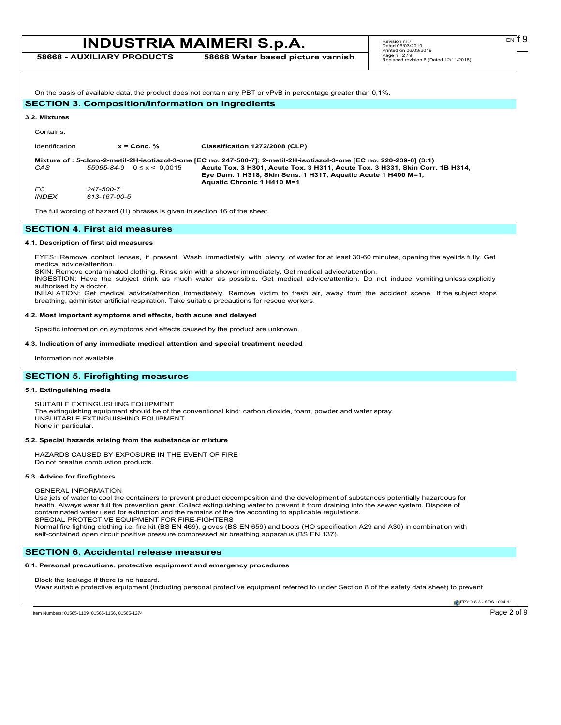|                | <b>INDUSTRIA MAIMERI S.p.A.</b>                          | Revision nr.7<br>Dated 06/03/2019<br>Printed on 06/03/2019                                                                                                                  | $EN$   19                                             |  |
|----------------|----------------------------------------------------------|-----------------------------------------------------------------------------------------------------------------------------------------------------------------------------|-------------------------------------------------------|--|
|                | <b>58668 - AUXILIARY PRODUCTS</b>                        | 58668 Water based picture varnish                                                                                                                                           | Page n. 2/9<br>Replaced revision:6 (Dated 12/11/2018) |  |
|                |                                                          |                                                                                                                                                                             |                                                       |  |
|                |                                                          | On the basis of available data, the product does not contain any PBT or vPvB in percentage greater than 0,1%.                                                               |                                                       |  |
|                | <b>SECTION 3. Composition/information on ingredients</b> |                                                                                                                                                                             |                                                       |  |
| 3.2. Mixtures  |                                                          |                                                                                                                                                                             |                                                       |  |
| Contains:      |                                                          |                                                                                                                                                                             |                                                       |  |
| Identification | $x =$ Conc. %                                            | Classification 1272/2008 (CLP)                                                                                                                                              |                                                       |  |
|                |                                                          | Mixture of : 5-cloro-2-metil-2H-isotiazol-3-one [EC no. 247-500-7]; 2-metil-2H-isotiazol-3-one [EC no. 220-239-6] (3:1)                                                     |                                                       |  |
| CAS            | $55965 - 84 - 9$ $0 \le x \le 0.0015$                    | Acute Tox. 3 H301, Acute Tox. 3 H311, Acute Tox. 3 H331, Skin Corr. 1B H314,<br>Eye Dam. 1 H318, Skin Sens. 1 H317, Aquatic Acute 1 H400 M=1,<br>Aquatic Chronic 1 H410 M=1 |                                                       |  |
| EC.            | 247-500-7                                                |                                                                                                                                                                             |                                                       |  |

The full wording of hazard (H) phrases is given in section 16 of the sheet.

## **SECTION 4. First aid measures**

#### **4.1. Description of first aid measures**

*INDEX 613-167-00-5*

EYES: Remove contact lenses, if present. Wash immediately with plenty of water for at least 30-60 minutes, opening the eyelids fully. Get medical advice/attention.

SKIN: Remove contaminated clothing. Rinse skin with a shower immediately. Get medical advice/attention.

INGESTION: Have the subject drink as much water as possible. Get medical advice/attention. Do not induce vomiting unless explicitly authorised by a doctor.

INHALATION: Get medical advice/attention immediately. Remove victim to fresh air, away from the accident scene. If the subject stops breathing, administer artificial respiration. Take suitable precautions for rescue workers.

#### **4.2. Most important symptoms and effects, both acute and delayed**

Specific information on symptoms and effects caused by the product are unknown.

#### **4.3. Indication of any immediate medical attention and special treatment needed**

Information not available

## **SECTION 5. Firefighting measures**

### **5.1. Extinguishing media**

SUITABLE EXTINGUISHING EQUIPMENT The extinguishing equipment should be of the conventional kind: carbon dioxide, foam, powder and water spray. UNSUITABLE EXTINGUISHING EQUIPMENT None in particular.

#### **5.2. Special hazards arising from the substance or mixture**

HAZARDS CAUSED BY EXPOSURE IN THE EVENT OF FIRE Do not breathe combustion products.

#### **5.3. Advice for firefighters**

#### GENERAL INFORMATION

Use jets of water to cool the containers to prevent product decomposition and the development of substances potentially hazardous for health. Always wear full fire prevention gear. Collect extinguishing water to prevent it from draining into the sewer system. Dispose of contaminated water used for extinction and the remains of the fire according to applicable regulations. SPECIAL PROTECTIVE EQUIPMENT FOR FIRE-FIGHTERS

Normal fire fighting clothing i.e. fire kit (BS EN 469), gloves (BS EN 659) and boots (HO specification A29 and A30) in combination with self-contained open circuit positive pressure compressed air breathing apparatus (BS EN 137).

## **SECTION 6. Accidental release measures**

#### **6.1. Personal precautions, protective equipment and emergency procedures**

Block the leakage if there is no hazard. Wear suitable protective equipment (including personal protective equipment referred to under Section 8 of the safety data sheet) to prevent

**C**EPY 9.8.3 - SDS 1004.11

Item Numbers: 01565-1109, 01565-1156, 01565-1274 **Page 2 of 9**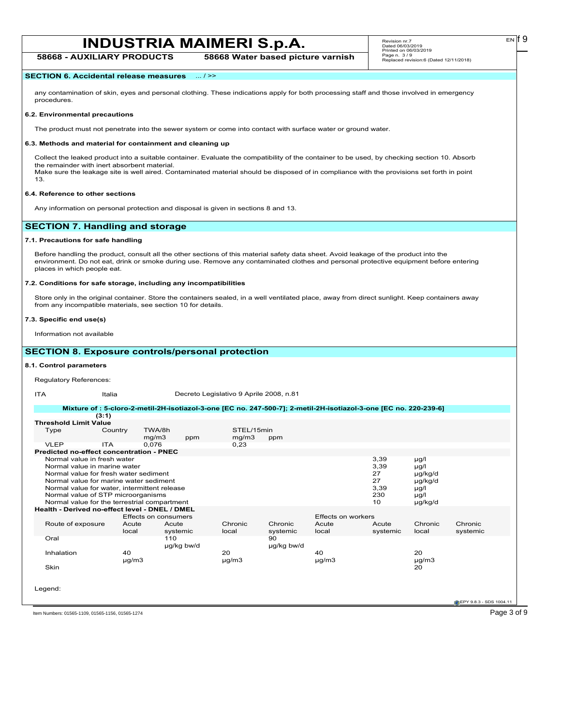**58668 - AUXILIARY PRODUCTS 58668 Water based picture varnish**

### **SECTION 6. Accidental release measures** ... / >>

any contamination of skin, eyes and personal clothing. These indications apply for both processing staff and those involved in emergency procedures.

#### **6.2. Environmental precautions**

The product must not penetrate into the sewer system or come into contact with surface water or ground water.

#### **6.3. Methods and material for containment and cleaning up**

Collect the leaked product into a suitable container. Evaluate the compatibility of the container to be used, by checking section 10. Absorb the remainder with inert absorbent material. Make sure the leakage site is well aired. Contaminated material should be disposed of in compliance with the provisions set forth in point 13.

#### **6.4. Reference to other sections**

Any information on personal protection and disposal is given in sections 8 and 13.

## **SECTION 7. Handling and storage**

## **7.1. Precautions for safe handling**

Before handling the product, consult all the other sections of this material safety data sheet. Avoid leakage of the product into the environment. Do not eat, drink or smoke during use. Remove any contaminated clothes and personal protective equipment before entering places in which people eat.

#### **7.2. Conditions for safe storage, including any incompatibilities**

Store only in the original container. Store the containers sealed, in a well ventilated place, away from direct sunlight. Keep containers away from any incompatible materials, see section 10 for details.

#### **7.3. Specific end use(s)**

Information not available

## **SECTION 8. Exposure controls/personal protection**

#### **8.1. Control parameters**

Regulatory References:

ITA Italia Italia Decreto Legislativo 9 Aprile 2008, n.81

| (3:1)                                                                                                                                                                                                                                                                                |                  |                      |            |                     |                     |                           |                                               |                                                                    |                     |
|--------------------------------------------------------------------------------------------------------------------------------------------------------------------------------------------------------------------------------------------------------------------------------------|------------------|----------------------|------------|---------------------|---------------------|---------------------------|-----------------------------------------------|--------------------------------------------------------------------|---------------------|
| <b>Threshold Limit Value</b>                                                                                                                                                                                                                                                         |                  |                      |            |                     |                     |                           |                                               |                                                                    |                     |
| Type                                                                                                                                                                                                                                                                                 | Country          | TWA/8h<br>mg/m3      | ppm        | STEL/15min<br>mg/m3 | ppm                 |                           |                                               |                                                                    |                     |
| <b>VLEP</b><br><b>ITA</b>                                                                                                                                                                                                                                                            |                  | 0,076                |            | 0,23                |                     |                           |                                               |                                                                    |                     |
| Predicted no-effect concentration - PNEC                                                                                                                                                                                                                                             |                  |                      |            |                     |                     |                           |                                               |                                                                    |                     |
| Normal value in fresh water<br>Normal value in marine water<br>Normal value for fresh water sediment<br>Normal value for marine water sediment<br>Normal value for water, intermittent release<br>Normal value of STP microorganisms<br>Normal value for the terrestrial compartment |                  |                      |            |                     |                     |                           | 3,39<br>3,39<br>27<br>27<br>3,39<br>230<br>10 | µg/l<br>$\mu$ g/l<br>µg/kg/d<br>µg/kg/d<br>µg/l<br>µg/l<br>µg/kg/d |                     |
| Health - Derived no-effect level - DNEL / DMEL                                                                                                                                                                                                                                       |                  |                      |            |                     |                     |                           |                                               |                                                                    |                     |
|                                                                                                                                                                                                                                                                                      |                  | Effects on consumers |            |                     |                     | <b>Effects on workers</b> |                                               |                                                                    |                     |
| Route of exposure                                                                                                                                                                                                                                                                    | Acute<br>local   | Acute<br>systemic    |            | Chronic<br>local    | Chronic<br>systemic | Acute<br>local            | Acute<br>systemic                             | Chronic<br>local                                                   | Chronic<br>systemic |
| Oral                                                                                                                                                                                                                                                                                 |                  | 110                  | µg/kg bw/d |                     | 90<br>µg/kg bw/d    |                           |                                               |                                                                    |                     |
| Inhalation                                                                                                                                                                                                                                                                           | 40<br>$\mu$ g/m3 |                      |            | 20<br>$\mu$ g/m $3$ |                     | 40<br>$\mu$ g/m3          |                                               | 20<br>$\mu$ g/m $3$                                                |                     |
| Skin                                                                                                                                                                                                                                                                                 |                  |                      |            |                     |                     |                           |                                               | 20                                                                 |                     |
| Legend:                                                                                                                                                                                                                                                                              |                  |                      |            |                     |                     |                           |                                               |                                                                    |                     |
|                                                                                                                                                                                                                                                                                      |                  |                      |            |                     |                     |                           |                                               |                                                                    |                     |

EN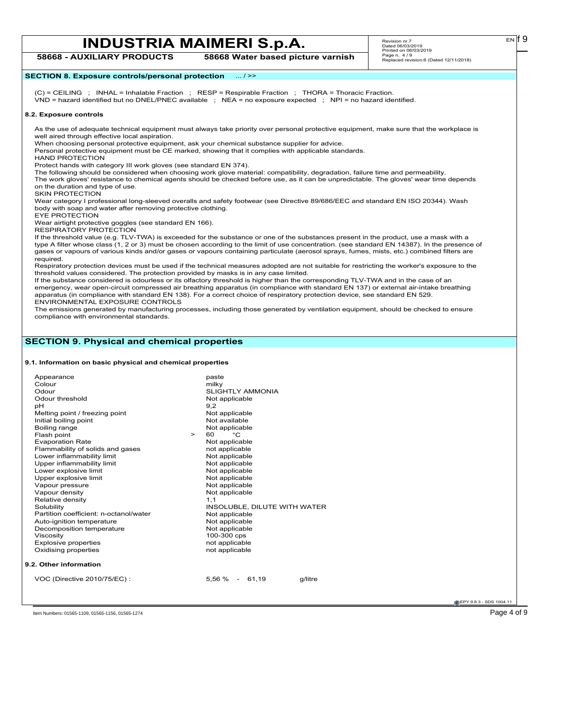Revision nr.7 Dated 06/03/2019 Printed on 06/03/2019 Page n. 4 / 9 Replaced revision:6 (Dated 12/11/2018)

## **58668 - AUXILIARY PRODUCTS 58668 Water based picture varnish**

**SECTION 8. Exposure controls/personal protection** ... / >>

(C) = CEILING ; INHAL = Inhalable Fraction ; RESP = Respirable Fraction ; THORA = Thoracic Fraction.

VND = hazard identified but no DNEL/PNEC available ; NEA = no exposure expected ; NPI = no hazard identified.

#### **8.2. Exposure controls**

As the use of adequate technical equipment must always take priority over personal protective equipment, make sure that the workplace is well aired through effective local aspiration.

When choosing personal protective equipment, ask your chemical substance supplier for advice.

Personal protective equipment must be CE marked, showing that it complies with applicable standards.

HAND PROTECTION

Protect hands with category III work gloves (see standard EN 374).

The following should be considered when choosing work glove material: compatibility, degradation, failure time and permeability. The work gloves' resistance to chemical agents should be checked before use, as it can be unpredictable. The gloves' wear time depends on the duration and type of use.

SKIN PROTECTION

Wear category I professional long-sleeved overalls and safety footwear (see Directive 89/686/EEC and standard EN ISO 20344). Wash body with soap and water after removing protective clothing.

EYE PROTECTION

Wear airtight protective goggles (see standard EN 166). RESPIRATORY PROTECTION

If the threshold value (e.g. TLV-TWA) is exceeded for the substance or one of the substances present in the product, use a mask with a type A filter whose class (1, 2 or 3) must be chosen according to the limit of use concentration. (see standard EN 14387). In the presence of gases or vapours of various kinds and/or gases or vapours containing particulate (aerosol sprays, fumes, mists, etc.) combined filters are required.

Respiratory protection devices must be used if the technical measures adopted are not suitable for restricting the worker's exposure to the threshold values considered. The protection provided by masks is in any case limited.

If the substance considered is odourless or its olfactory threshold is higher than the corresponding TLV-TWA and in the case of an emergency, wear open-circuit compressed air breathing apparatus (in compliance with standard EN 137) or external air-intake breathing apparatus (in compliance with standard EN 138). For a correct choice of respiratory protection device, see standard EN 529. ENVIRONMENTAL EXPOSURE CONTROLS

The emissions generated by manufacturing processes, including those generated by ventilation equipment, should be checked to ensure compliance with environmental standards.

## **SECTION 9. Physical and chemical properties**

**9.1. Information on basic physical and chemical properties**

| Appearance                             |        | paste                        |
|----------------------------------------|--------|------------------------------|
| Colour                                 |        | milky                        |
| Odour                                  |        | <b>SLIGHTLY AMMONIA</b>      |
| Odour threshold                        |        | Not applicable               |
| pH                                     |        | 9,2                          |
| Melting point / freezing point         |        | Not applicable               |
| Initial boiling point                  |        | Not available                |
| Boiling range                          |        | Not applicable               |
| Flash point                            | $\geq$ | °C<br>60                     |
| <b>Evaporation Rate</b>                |        | Not applicable               |
| Flammability of solids and gases       |        | not applicable               |
| Lower inflammability limit             |        | Not applicable               |
| Upper inflammability limit             |        | Not applicable               |
| Lower explosive limit                  |        | Not applicable               |
| Upper explosive limit                  |        | Not applicable               |
| Vapour pressure                        |        | Not applicable               |
| Vapour density                         |        | Not applicable               |
| Relative density                       |        | 1,1                          |
| Solubility                             |        | INSOLUBLE, DILUTE WITH WATER |
| Partition coefficient: n-octanol/water |        | Not applicable               |
| Auto-ignition temperature              |        | Not applicable               |
| Decomposition temperature              |        | Not applicable               |
| Viscosity                              |        | 100-300 cps                  |
| <b>Explosive properties</b>            |        | not applicable               |
| Oxidising properties                   |        | not applicable               |
| 9.2. Other information                 |        |                              |
| VOC (Directive 2010/75/EC):            |        | $5,56\% - 61,19$<br>g/litre  |
|                                        |        |                              |

**EPY 9.8.3 - SDS 1004.11** 

Item Numbers: 01565-1109, 01565-1156, 01565-1274 **Page 4 of 9** 

 $E<sub>N</sub>$  if 9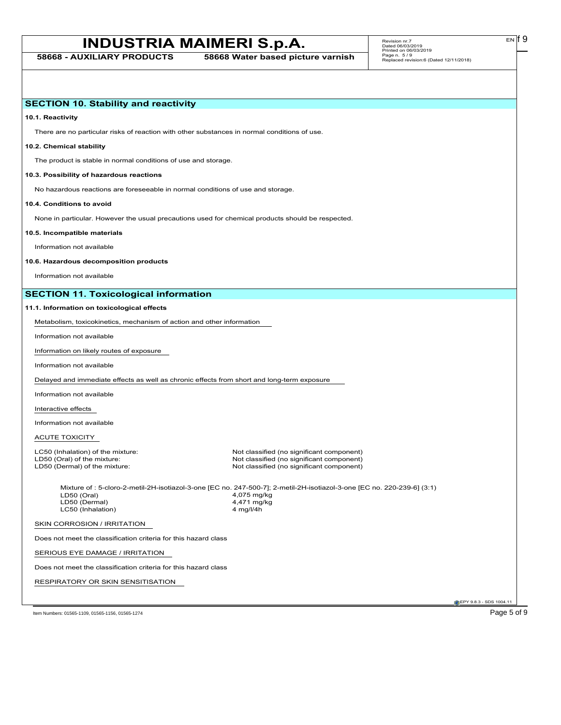**58668 - AUXILIARY PRODUCTS 58668 Water based picture varnish**

 $E<sub>N</sub>$  | 9

| <b>SECTION 10. Stability and reactivity</b>                                                       |                                                                                                                                                                    |                         |
|---------------------------------------------------------------------------------------------------|--------------------------------------------------------------------------------------------------------------------------------------------------------------------|-------------------------|
| 10.1. Reactivity                                                                                  |                                                                                                                                                                    |                         |
| There are no particular risks of reaction with other substances in normal conditions of use.      |                                                                                                                                                                    |                         |
| 10.2. Chemical stability                                                                          |                                                                                                                                                                    |                         |
| The product is stable in normal conditions of use and storage.                                    |                                                                                                                                                                    |                         |
| 10.3. Possibility of hazardous reactions                                                          |                                                                                                                                                                    |                         |
| No hazardous reactions are foreseeable in normal conditions of use and storage.                   |                                                                                                                                                                    |                         |
| 10.4. Conditions to avoid                                                                         |                                                                                                                                                                    |                         |
| None in particular. However the usual precautions used for chemical products should be respected. |                                                                                                                                                                    |                         |
| 10.5. Incompatible materials                                                                      |                                                                                                                                                                    |                         |
| Information not available                                                                         |                                                                                                                                                                    |                         |
| 10.6. Hazardous decomposition products                                                            |                                                                                                                                                                    |                         |
| Information not available                                                                         |                                                                                                                                                                    |                         |
| <b>SECTION 11. Toxicological information</b>                                                      |                                                                                                                                                                    |                         |
| 11.1. Information on toxicological effects                                                        |                                                                                                                                                                    |                         |
| Metabolism, toxicokinetics, mechanism of action and other information                             |                                                                                                                                                                    |                         |
| Information not available                                                                         |                                                                                                                                                                    |                         |
| Information on likely routes of exposure                                                          |                                                                                                                                                                    |                         |
| Information not available                                                                         |                                                                                                                                                                    |                         |
| Delayed and immediate effects as well as chronic effects from short and long-term exposure        |                                                                                                                                                                    |                         |
| Information not available                                                                         |                                                                                                                                                                    |                         |
| Interactive effects                                                                               |                                                                                                                                                                    |                         |
| Information not available                                                                         |                                                                                                                                                                    |                         |
| ACUTE TOXICITY                                                                                    |                                                                                                                                                                    |                         |
| LC50 (Inhalation) of the mixture:<br>LD50 (Oral) of the mixture:<br>LD50 (Dermal) of the mixture: | Not classified (no significant component)<br>Not classified (no significant component)<br>Not classified (no significant component)                                |                         |
| LD50 (Oral)<br>LD50 (Dermal)<br>LC50 (Inhalation)                                                 | Mixture of : 5-cloro-2-metil-2H-isotiazol-3-one [EC no. 247-500-7]; 2-metil-2H-isotiazol-3-one [EC no. 220-239-6] (3:1)<br>4,075 mg/kg<br>4,471 mg/kg<br>4 mg/l/4h |                         |
| SKIN CORROSION / IRRITATION                                                                       |                                                                                                                                                                    |                         |
| Does not meet the classification criteria for this hazard class                                   |                                                                                                                                                                    |                         |
| SERIOUS EYE DAMAGE / IRRITATION                                                                   |                                                                                                                                                                    |                         |
| Does not meet the classification criteria for this hazard class                                   |                                                                                                                                                                    |                         |
| RESPIRATORY OR SKIN SENSITISATION                                                                 |                                                                                                                                                                    |                         |
|                                                                                                   |                                                                                                                                                                    | EPY 9.8.3 - SDS 1004.11 |

Item Numbers: 01565-1109, 01565-1156, 01565-1274 Page 5 of 9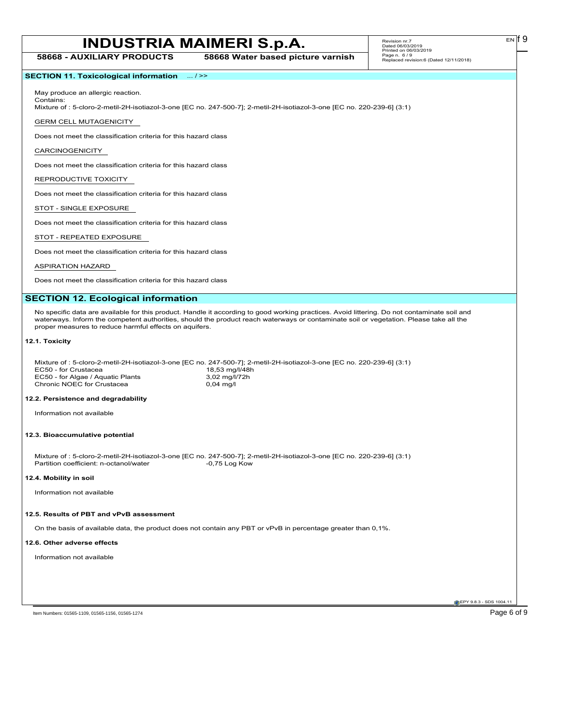**58668 - AUXILIARY PRODUCTS 58668 Water based picture varnish**

## **SECTION 11. Toxicological information** ... / >>

May produce an allergic reaction. Contains:

Mixture of : 5-cloro-2-metil-2H-isotiazol-3-one [EC no. 247-500-7]; 2-metil-2H-isotiazol-3-one [EC no. 220-239-6] (3:1)

GERM CELL MUTAGENICITY

Does not meet the classification criteria for this hazard class

CARCINOGENICITY

Does not meet the classification criteria for this hazard class

## REPRODUCTIVE TOXICITY

Does not meet the classification criteria for this hazard class

#### STOT - SINGLE EXPOSURE

Does not meet the classification criteria for this hazard class

#### STOT - REPEATED EXPOSURE

Does not meet the classification criteria for this hazard class

#### ASPIRATION HAZARD

Does not meet the classification criteria for this hazard class

### **SECTION 12. Ecological information**

No specific data are available for this product. Handle it according to good working practices. Avoid littering. Do not contaminate soil and waterways. Inform the competent authorities, should the product reach waterways or contaminate soil or vegetation. Please take all the proper measures to reduce harmful effects on aquifers.

### **12.1. Toxicity**

|                                   | Mixture of : 5-cloro-2-metil-2H-isotiazol-3-one [EC no. 247-500-7]; 2-metil-2H-isotiazol-3-one [EC no. 220-239-6] (3:1) |
|-----------------------------------|-------------------------------------------------------------------------------------------------------------------------|
| EC50 - for Crustacea              | 18,53 mg/l/48h                                                                                                          |
| EC50 - for Algae / Aguatic Plants | 3,02 mg/l/72h                                                                                                           |
| Chronic NOEC for Crustacea        | 0.04 ma/l                                                                                                               |
|                                   |                                                                                                                         |

### **12.2. Persistence and degradability**

Information not available

#### **12.3. Bioaccumulative potential**

Mixture of : 5-cloro-2-metil-2H-isotiazol-3-one [EC no. 247-500-7]; 2-metil-2H-isotiazol-3-one [EC no. 220-239-6] (3:1) Partition coefficient: n-octanol/water

#### **12.4. Mobility in soil**

Information not available

#### **12.5. Results of PBT and vPvB assessment**

On the basis of available data, the product does not contain any PBT or vPvB in percentage greater than 0,1%.

#### **12.6. Other adverse effects**

Information not available

**C**EPY 9.8.3 - SDS 1004.1

EN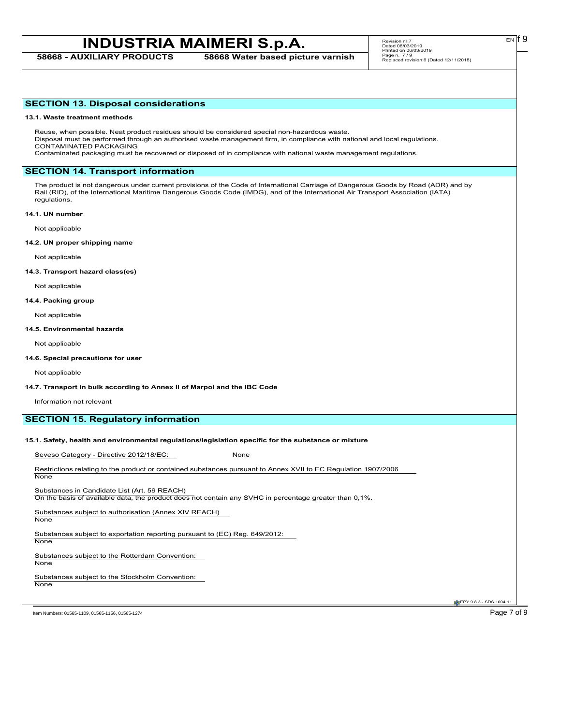**58668 - AUXILIARY PRODUCTS 58668 Water based picture varnish**

## **SECTION 13. Disposal considerations**

#### **13.1. Waste treatment methods**

Reuse, when possible. Neat product residues should be considered special non-hazardous waste. Disposal must be performed through an authorised waste management firm, in compliance with national and local regulations. CONTAMINATED PACKAGING

Contaminated packaging must be recovered or disposed of in compliance with national waste management regulations.

## **SECTION 14. Transport information**

The product is not dangerous under current provisions of the Code of International Carriage of Dangerous Goods by Road (ADR) and by Rail (RID), of the International Maritime Dangerous Goods Code (IMDG), and of the International Air Transport Association (IATA) regulations.

#### **14.1. UN number**

Not applicable

#### **14.2. UN proper shipping name**

Not applicable

#### **14.3. Transport hazard class(es)**

Not applicable

#### **14.4. Packing group**

Not applicable

#### **14.5. Environmental hazards**

Not applicable

#### **14.6. Special precautions for user**

Not applicable

### **14.7. Transport in bulk according to Annex II of Marpol and the IBC Code**

Information not relevant

## **SECTION 15. Regulatory information**

## **15.1. Safety, health and environmental regulations/legislation specific for the substance or mixture**

Seveso Category - Directive 2012/18/EC: None

Restrictions relating to the product or contained substances pursuant to Annex XVII to EC Regulation 1907/2006 **None** 

Substances in Candidate List (Art. 59 REACH)

On the basis of available data, the product does not contain any SVHC in percentage greater than 0,1%.

Substances subject to authorisation (Annex XIV REACH) None

Substances subject to exportation reporting pursuant to (EC) Reg. 649/2012:

Substances subject to the Rotterdam Convention:

**None** 

**None** 

Substances subject to the Stockholm Convention: None

**EPY 9.8.3 - SDS 1004.** 

Item Numbers: 01565-1109, 01565-1156, 01565-1274 **Page 7 of 9**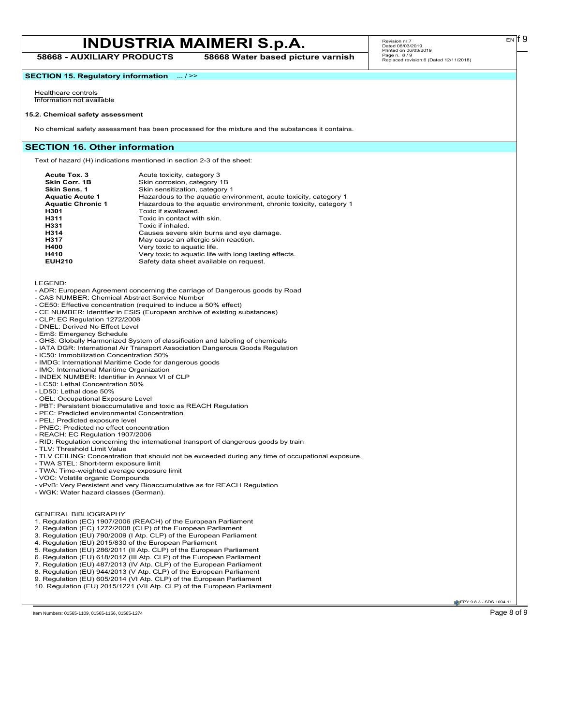**58668 - AUXILIARY PRODUCTS 58668 Water based picture varnish**

 $E<sub>N</sub>$  if 9

**SECTION 15. Regulatory information** ... / >>

Healthcare controls Information not available

#### **15.2. Chemical safety assessment**

No chemical safety assessment has been processed for the mixture and the substances it contains.

#### **SECTION 16. Other information**

Text of hazard (H) indications mentioned in section 2-3 of the sheet:

| Acute Tox. 3<br>Skin Corr. 1B<br>Skin Sens. 1<br><b>Aquatic Acute 1</b><br><b>Aquatic Chronic 1</b><br>H301<br>H311<br>H331<br>H314 | Acute toxicity, category 3<br>Skin corrosion, category 1B<br>Skin sensitization, category 1<br>Hazardous to the aquatic environment, acute toxicity, category 1<br>Hazardous to the aquatic environment, chronic toxicity, category 1<br>Toxic if swallowed.<br>Toxic in contact with skin.<br>Toxic if inhaled.<br>Causes severe skin burns and eye damage. |
|-------------------------------------------------------------------------------------------------------------------------------------|--------------------------------------------------------------------------------------------------------------------------------------------------------------------------------------------------------------------------------------------------------------------------------------------------------------------------------------------------------------|
|                                                                                                                                     |                                                                                                                                                                                                                                                                                                                                                              |
| H317                                                                                                                                | May cause an allergic skin reaction.                                                                                                                                                                                                                                                                                                                         |
| H400                                                                                                                                | Very toxic to aquatic life.                                                                                                                                                                                                                                                                                                                                  |
| H410<br><b>EUH210</b>                                                                                                               | Very toxic to aquatic life with long lasting effects.<br>Safety data sheet available on request.                                                                                                                                                                                                                                                             |
|                                                                                                                                     |                                                                                                                                                                                                                                                                                                                                                              |

LEGEND:

- ADR: European Agreement concerning the carriage of Dangerous goods by Road
- CAS NUMBER: Chemical Abstract Service Number
- CE50: Effective concentration (required to induce a 50% effect)
- CE NUMBER: Identifier in ESIS (European archive of existing substances)
- CLP: EC Regulation 1272/2008
- DNEL: Derived No Effect Level
- EmS: Emergency Schedule
- GHS: Globally Harmonized System of classification and labeling of chemicals
- IATA DGR: International Air Transport Association Dangerous Goods Regulation
- IC50: Immobilization Concentration 50%
- IMDG: International Maritime Code for dangerous goods
- IMO: International Maritime Organization
- INDEX NUMBER: Identifier in Annex VI of CLP
- LC50: Lethal Concentration 50%
- LD50: Lethal dose 50% - OEL: Occupational Exposure Level
- PBT: Persistent bioaccumulative and toxic as REACH Regulation
- PEC: Predicted environmental Concentration
- PEL: Predicted exposure level
- PNEC: Predicted no effect concentration
- REACH: EC Regulation 1907/2006
- RID: Regulation concerning the international transport of dangerous goods by train
- TLV: Threshold Limit Value
- TLV CEILING: Concentration that should not be exceeded during any time of occupational exposure.
- TWA STEL: Short-term exposure limit
- TWA: Time-weighted average exposure limit
- VOC: Volatile organic Compounds
- vPvB: Very Persistent and very Bioaccumulative as for REACH Regulation
- WGK: Water hazard classes (German).

GENERAL BIBLIOGRAPHY

- 1. Regulation (EC) 1907/2006 (REACH) of the European Parliament
- 2. Regulation (EC) 1272/2008 (CLP) of the European Parliament
- 3. Regulation (EU) 790/2009 (I Atp. CLP) of the European Parliament
- 4. Regulation (EU) 2015/830 of the European Parliament
- 5. Regulation (EU) 286/2011 (II Atp. CLP) of the European Parliament
- 6. Regulation (EU) 618/2012 (III Atp. CLP) of the European Parliament
- 7. Regulation (EU) 487/2013 (IV Atp. CLP) of the European Parliament
- 8. Regulation (EU) 944/2013 (V Atp. CLP) of the European Parliament
- 9. Regulation (EU) 605/2014 (VI Atp. CLP) of the European Parliament

Item Numbers: 01565-1109, 01565-1156, 01565-1274 Page 8 of 9

**C**EPY 9.8.3 - SDS 1004.1

<sup>10.</sup> Regulation (EU) 2015/1221 (VII Atp. CLP) of the European Parliament